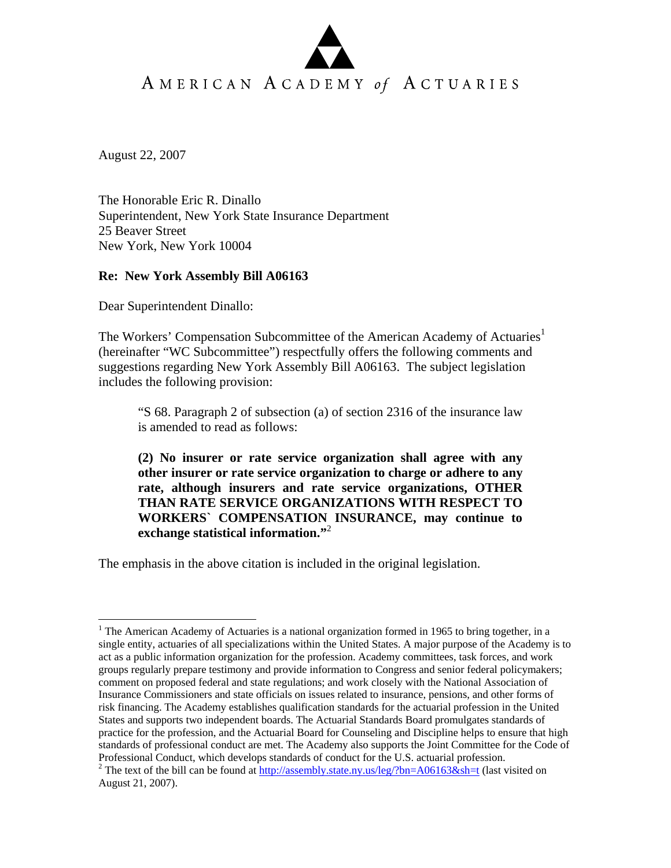## AMERICAN ACADEMY of ACTUARIES

August 22, 2007

 $\overline{a}$ 

The Honorable Eric R. Dinallo Superintendent, New York State Insurance Department 25 Beaver Street New York, New York 10004

## **Re: New York Assembly Bill A06163**

Dear Superintendent Dinallo:

The Workers' Compensation Subcommittee of the American Academy of Actuaries<sup>1</sup> (hereinafter "WC Subcommittee") respectfully offers the following comments and suggestions regarding New York Assembly Bill A06163. The subject legislation includes the following provision:

"S 68. Paragraph 2 of subsection (a) of section 2316 of the insurance law is amended to read as follows:

**(2) No insurer or rate service organization shall agree with any other insurer or rate service organization to charge or adhere to any rate, although insurers and rate service organizations, OTHER THAN RATE SERVICE ORGANIZATIONS WITH RESPECT TO WORKERS` COMPENSATION INSURANCE, may continue to exchange statistical information."**<sup>2</sup>

The emphasis in the above citation is included in the original legislation.

<sup>&</sup>lt;sup>1</sup> The American Academy of Actuaries is a national organization formed in 1965 to bring together, in a single entity, actuaries of all specializations within the United States. A major purpose of the Academy is to act as a public information organization for the profession. Academy committees, task forces, and work groups regularly prepare testimony and provide information to Congress and senior federal policymakers; comment on proposed federal and state regulations; and work closely with the National Association of Insurance Commissioners and state officials on issues related to insurance, pensions, and other forms of risk financing. The Academy establishes qualification standards for the actuarial profession in the United States and supports two independent boards. The Actuarial Standards Board promulgates standards of practice for the profession, and the Actuarial Board for Counseling and Discipline helps to ensure that high standards of professional conduct are met. The Academy also supports the Joint Committee for the Code of Professional Conduct, which develops standards of conduct for the U.S. actuarial profession.

<sup>&</sup>lt;sup>2</sup> The text of the bill can be found at  $\frac{http://assembly.state.ny.us/leg/?bn=AO6163&sh=t}{http://assembly.state.ny.us/leg/?bn=AO6163&sh=t}$  (last visited on August 21, 2007).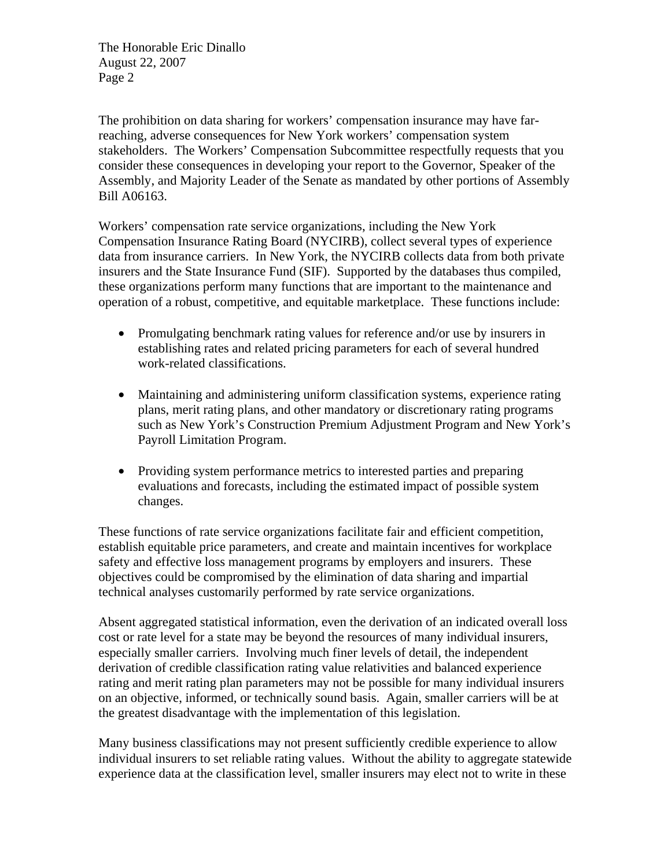The Honorable Eric Dinallo August 22, 2007 Page 2

The prohibition on data sharing for workers' compensation insurance may have farreaching, adverse consequences for New York workers' compensation system stakeholders. The Workers' Compensation Subcommittee respectfully requests that you consider these consequences in developing your report to the Governor, Speaker of the Assembly, and Majority Leader of the Senate as mandated by other portions of Assembly Bill A06163.

Workers' compensation rate service organizations, including the New York Compensation Insurance Rating Board (NYCIRB), collect several types of experience data from insurance carriers. In New York, the NYCIRB collects data from both private insurers and the State Insurance Fund (SIF). Supported by the databases thus compiled, these organizations perform many functions that are important to the maintenance and operation of a robust, competitive, and equitable marketplace. These functions include:

- Promulgating benchmark rating values for reference and/or use by insurers in establishing rates and related pricing parameters for each of several hundred work-related classifications.
- Maintaining and administering uniform classification systems, experience rating plans, merit rating plans, and other mandatory or discretionary rating programs such as New York's Construction Premium Adjustment Program and New York's Payroll Limitation Program.
- Providing system performance metrics to interested parties and preparing evaluations and forecasts, including the estimated impact of possible system changes.

These functions of rate service organizations facilitate fair and efficient competition, establish equitable price parameters, and create and maintain incentives for workplace safety and effective loss management programs by employers and insurers. These objectives could be compromised by the elimination of data sharing and impartial technical analyses customarily performed by rate service organizations.

Absent aggregated statistical information, even the derivation of an indicated overall loss cost or rate level for a state may be beyond the resources of many individual insurers, especially smaller carriers. Involving much finer levels of detail, the independent derivation of credible classification rating value relativities and balanced experience rating and merit rating plan parameters may not be possible for many individual insurers on an objective, informed, or technically sound basis. Again, smaller carriers will be at the greatest disadvantage with the implementation of this legislation.

Many business classifications may not present sufficiently credible experience to allow individual insurers to set reliable rating values. Without the ability to aggregate statewide experience data at the classification level, smaller insurers may elect not to write in these